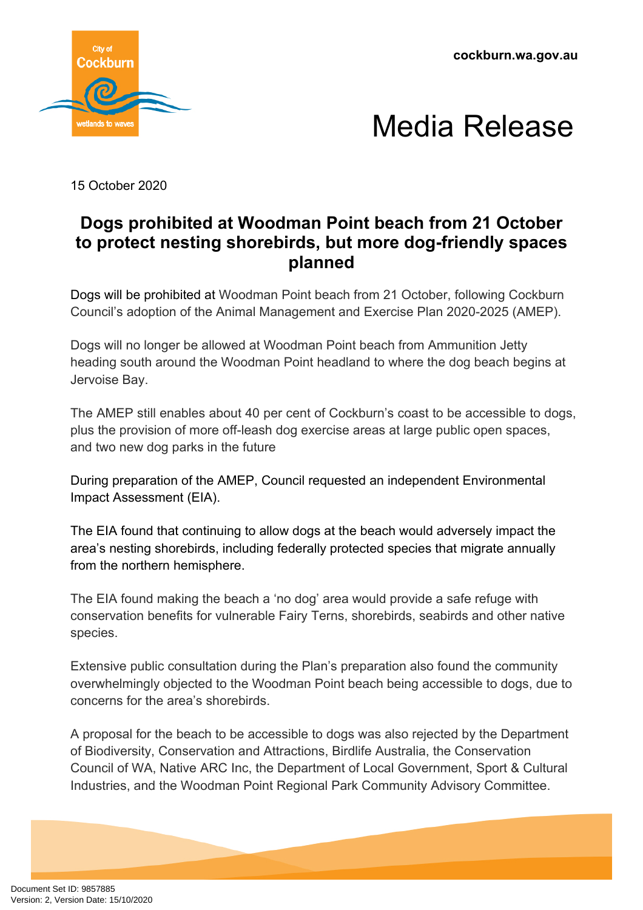**cockburn.wa.gov.au**





15 October 2020

## **Dogs prohibited at Woodman Point beach from 21 October to protect nesting shorebirds, but more dog-friendly spaces planned**

Dogs will be prohibited at Woodman Point beach from 21 October, following Cockburn Council's adoption of the Animal Management and Exercise Plan 2020-2025 (AMEP).

Dogs will no longer be allowed at Woodman Point beach from Ammunition Jetty heading south around the Woodman Point headland to where the dog beach begins at Jervoise Bay.

The AMEP still enables about 40 per cent of Cockburn's coast to be accessible to dogs, plus the provision of more off-leash dog exercise areas at large public open spaces, and two new dog parks in the future

During preparation of the AMEP, Council requested an independent Environmental Impact Assessment (EIA).

The EIA found that continuing to allow dogs at the beach would adversely impact the area's nesting shorebirds, including federally protected species that migrate annually from the northern hemisphere.

The EIA found making the beach a 'no dog' area would provide a safe refuge with conservation benefits for vulnerable Fairy Terns, shorebirds, seabirds and other native species.

Extensive public consultation during the Plan's preparation also found the community overwhelmingly objected to the Woodman Point beach being accessible to dogs, due to concerns for the area's shorebirds.

A proposal for the beach to be accessible to dogs was also rejected by the Department of Biodiversity, Conservation and Attractions, Birdlife Australia, the Conservation Council of WA, Native ARC Inc, the Department of Local Government, Sport & Cultural Industries, and the Woodman Point Regional Park Community Advisory Committee.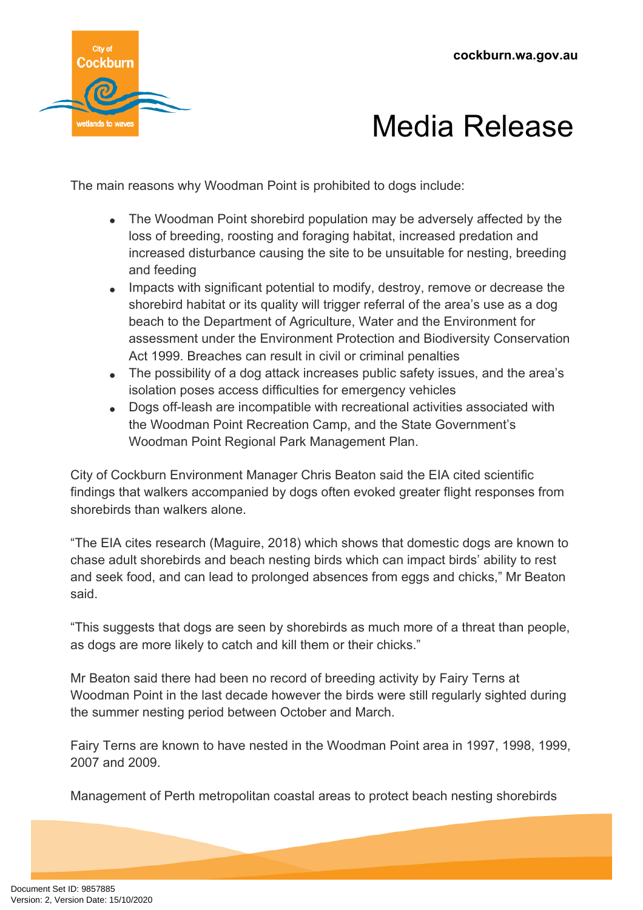

## Media Release

The main reasons why Woodman Point is prohibited to dogs include:

- The Woodman Point shorebird population may be adversely affected by the loss of breeding, roosting and foraging habitat, increased predation and increased disturbance causing the site to be unsuitable for nesting, breeding and feeding
- Impacts with significant potential to modify, destroy, remove or decrease the shorebird habitat or its quality will trigger referral of the area's use as a dog beach to the Department of Agriculture, Water and the Environment for assessment under the Environment Protection and Biodiversity Conservation Act 1999. Breaches can result in civil or criminal penalties
- The possibility of a dog attack increases public safety issues, and the area's isolation poses access difficulties for emergency vehicles
- Dogs off-leash are incompatible with recreational activities associated with the Woodman Point Recreation Camp, and the State Government's Woodman Point Regional Park Management Plan.

City of Cockburn Environment Manager Chris Beaton said the EIA cited scientific findings that walkers accompanied by dogs often evoked greater flight responses from shorebirds than walkers alone.

"The EIA cites research (Maguire, 2018) which shows that domestic dogs are known to chase adult shorebirds and beach nesting birds which can impact birds' ability to rest and seek food, and can lead to prolonged absences from eggs and chicks," Mr Beaton said.

"This suggests that dogs are seen by shorebirds as much more of a threat than people, as dogs are more likely to catch and kill them or their chicks."

Mr Beaton said there had been no record of breeding activity by Fairy Terns at Woodman Point in the last decade however the birds were still regularly sighted during the summer nesting period between October and March.

Fairy Terns are known to have nested in the Woodman Point area in 1997, 1998, 1999, 2007 and 2009.

Management of Perth metropolitan coastal areas to protect beach nesting shorebirds